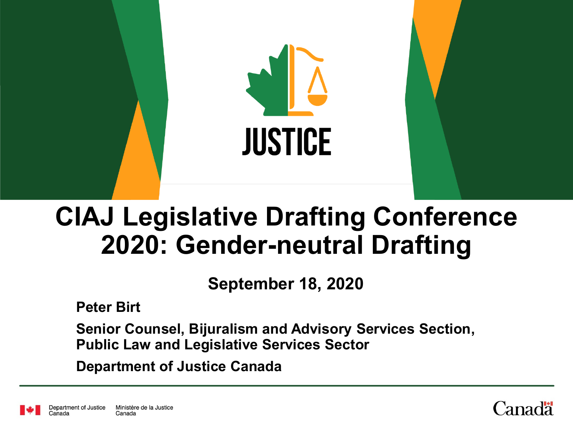

# **CIAJ Legislative Drafting Conference 2020: Gender-neutral Drafting**

**September 18, 2020**

**Peter Birt**

**Senior Counsel, Bijuralism and Advisory Services Section, Public Law and Legislative Services Sector**

**Department of Justice Canada**

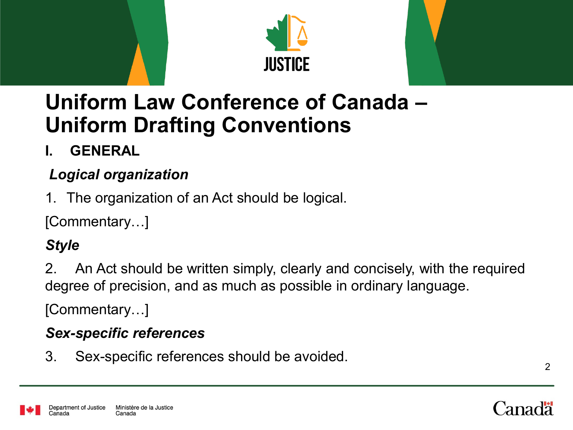



### **Uniform Law Conference of Canada – Uniform Drafting Conventions**

#### **I. GENERAL**

#### *Logical organization*

1. The organization of an Act should be logical.

[Commentary…]

#### *Style*

2. An Act should be written simply, clearly and concisely, with the required degree of precision, and as much as possible in ordinary language.

[Commentary…]

#### *Sex-specific references*

3. Sex-specific references should be avoided.

2

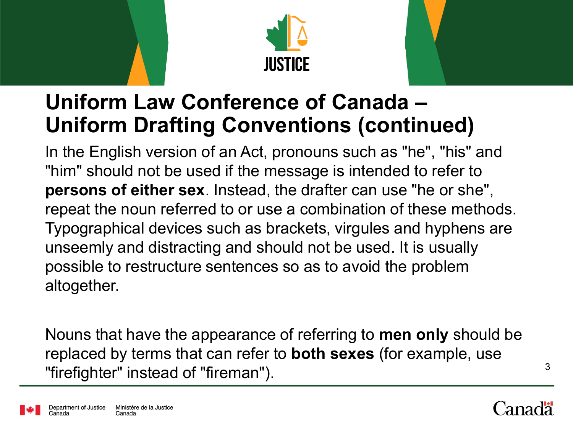



### **Uniform Law Conference of Canada – Uniform Drafting Conventions (continued)**

In the English version of an Act, pronouns such as "he", "his" and "him" should not be used if the message is intended to refer to **persons of either sex**. Instead, the drafter can use "he or she", repeat the noun referred to or use a combination of these methods. Typographical devices such as brackets, virgules and hyphens are unseemly and distracting and should not be used. It is usually possible to restructure sentences so as to avoid the problem altogether.

Nouns that have the appearance of referring to **men only** should be replaced by terms that can refer to **both sexes** (for example, use "firefighter" instead of "fireman"). The state of  $3\overline{3}$ 

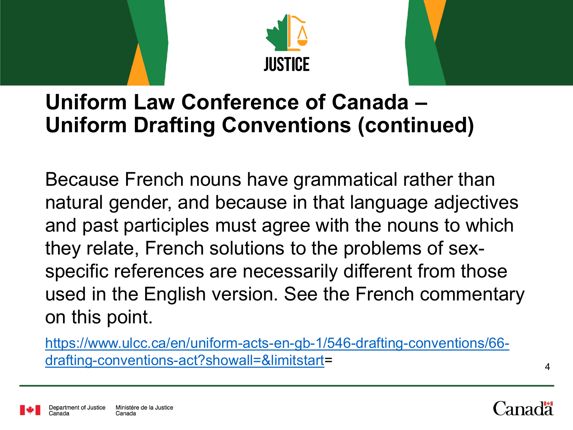



#### **Uniform Law Conference of Canada – Uniform Drafting Conventions (continued)**

Because French nouns have grammatical rather than natural gender, and because in that language adjectives and past participles must agree with the nouns to which they relate, French solutions to the problems of sexspecific references are necessarily different from those used in the English version. See the French commentary on this point.

[https://www.ulcc.ca/en/uniform-acts-en-gb-1/546-drafting-conventions/66](about:blank) drafting-conventions-act?showall=&limitstart=



4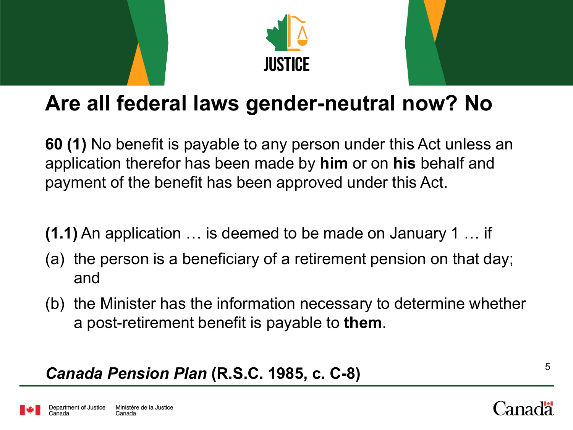



## **Are all federal laws gender-neutral now? No**

**60 (1)** No benefit is payable to any person under this Act unless an application therefor has been made by **him** or on **his** behalf and payment of the benefit has been approved under this Act.

- **(1.1)** An application … is deemed to be made on January 1 … if
- (a) the person is a beneficiary of a retirement pension on that day; and
- (b) the Minister has the information necessary to determine whether a post-retirement benefit is payable to **them**.

#### *Canada Pension Plan* **(R.S.C. 1985, c. C-8)** <sup>5</sup>

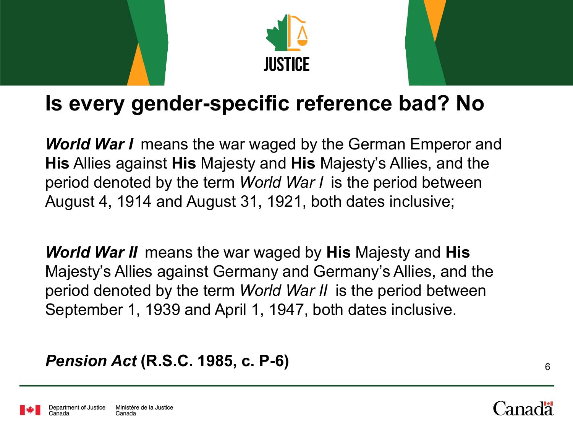



#### **Is every gender-specific reference bad? No**

*World War I* means the war waged by the German Emperor and **His** Allies against **His** Majesty and **His** Majesty's Allies, and the period denoted by the term *World War I* is the period between August 4, 1914 and August 31, 1921, both dates inclusive;

*World War II* means the war waged by **His** Majesty and **His** Majesty's Allies against Germany and Germany's Allies, and the period denoted by the term *World War II* is the period between September 1, 1939 and April 1, 1947, both dates inclusive.

#### *Pension Act* **(R.S.C. 1985, c. P-6)** <sup>6</sup>



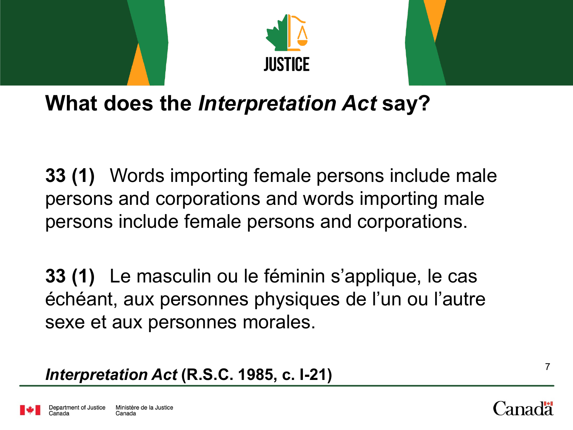



### **What does the** *Interpretation Act* **say?**

**33 (1)** Words importing female persons include male persons and corporations and words importing male persons include female persons and corporations.

**33 (1)** Le masculin ou le féminin s'applique, le cas échéant, aux personnes physiques de l'un ou l'autre sexe et aux personnes morales.

*Interpretation Act* **(R.S.C. 1985, c. I-21)** <sup>7</sup>

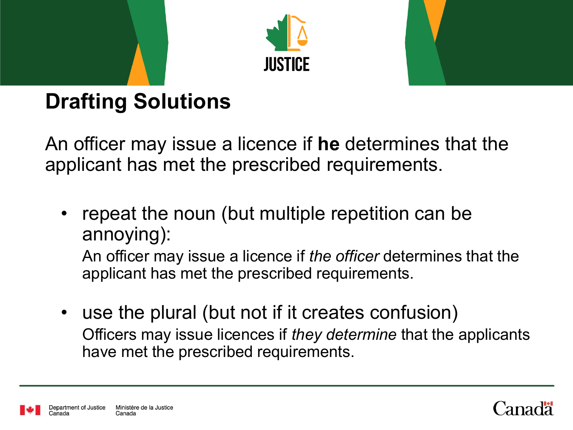



# **Drafting Solutions**

An officer may issue a licence if **he** determines that the applicant has met the prescribed requirements.

repeat the noun (but multiple repetition can be annoying):

An officer may issue a licence if *the officer* determines that the applicant has met the prescribed requirements.

use the plural (but not if it creates confusion) Officers may issue licences if *they determine* that the applicants have met the prescribed requirements.



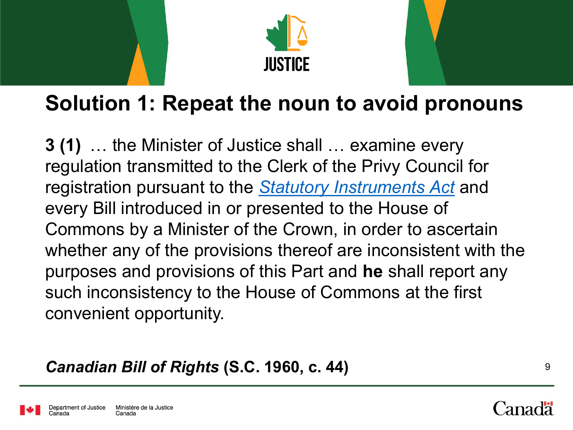



### **Solution 1: Repeat the noun to avoid pronouns**

**3 (1)** … the Minister of Justice shall … examine every regulation transmitted to the Clerk of the Privy Council for registration pursuant to the *[Statutory Instruments Act](https://laws-lois.justice.gc.ca/eng/acts/S-22)* and every Bill introduced in or presented to the House of Commons by a Minister of the Crown, in order to ascertain whether any of the provisions thereof are inconsistent with the purposes and provisions of this Part and **he** shall report any such inconsistency to the House of Commons at the first convenient opportunity.

*Canadian Bill of Rights* **(S.C. 1960, c. 44)** <sup>9</sup>

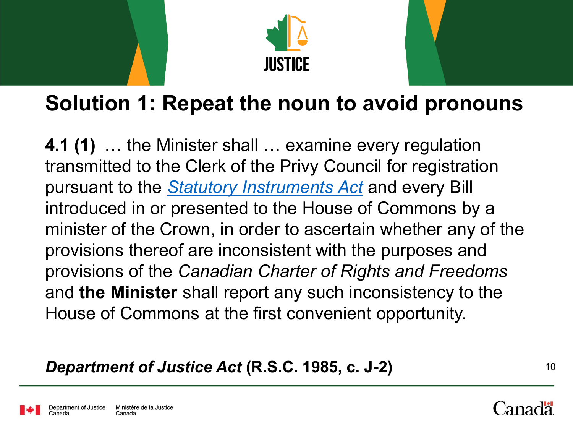



#### **Solution 1: Repeat the noun to avoid pronouns**

**4.1 (1)** … the Minister shall … examine every regulation transmitted to the Clerk of the Privy Council for registration pursuant to the *[Statutory Instruments Act](about:blank)* and every Bill introduced in or presented to the House of Commons by a minister of the Crown, in order to ascertain whether any of the provisions thereof are inconsistent with the purposes and provisions of the *Canadian Charter of Rights and Freedoms* and **the Minister** shall report any such inconsistency to the House of Commons at the first convenient opportunity.

*Department of Justice Act* **(R.S.C. 1985, c. J-2)** <sup>10</sup>

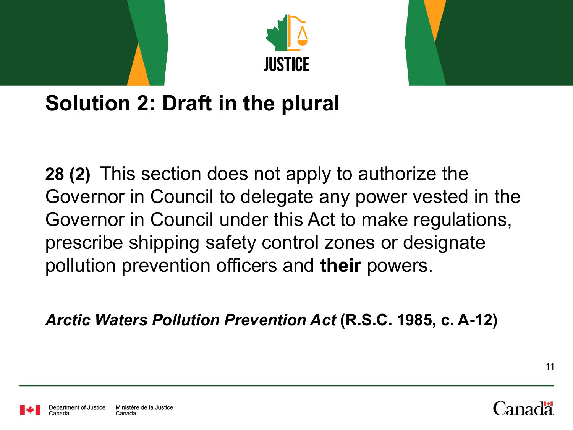



### **Solution 2: Draft in the plural**

**28 (2)** This section does not apply to authorize the Governor in Council to delegate any power vested in the Governor in Council under this Act to make regulations, prescribe shipping safety control zones or designate pollution prevention officers and **their** powers.

*Arctic Waters Pollution Prevention Act* **(R.S.C. 1985, c. A-12)**



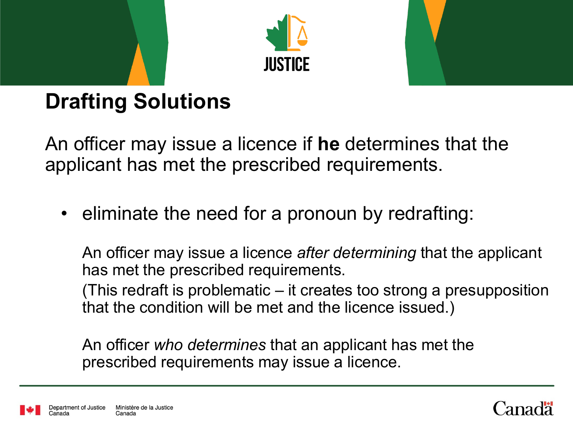



# **Drafting Solutions**

An officer may issue a licence if **he** determines that the applicant has met the prescribed requirements.

• eliminate the need for a pronoun by redrafting:

An officer may issue a licence *after determining* that the applicant has met the prescribed requirements.

(This redraft is problematic – it creates too strong a presupposition that the condition will be met and the licence issued.)

An officer *who determines* that an applicant has met the prescribed requirements may issue a licence.



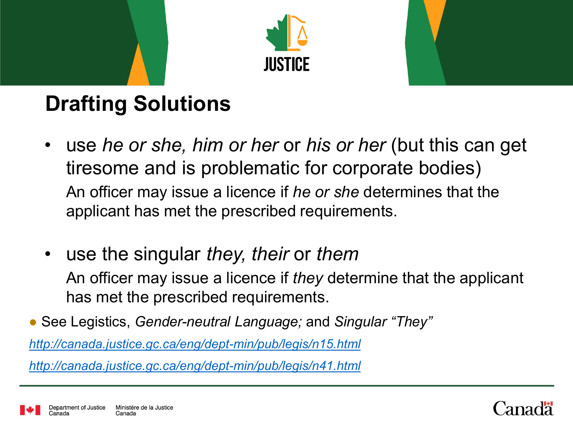



# <span id="page-12-0"></span>**Drafting Solutions**

- use *he or she, him or her* or *his or her* (but this can get tiresome and is problematic for corporate bodies) An officer may issue a licence if *he or she* determines that the applicant has met the prescribed requirements.
- use the singular *they, their* or *them* An officer may issue a licence if *they* determine that the applicant has met the prescribed requirements.

● See Legistics, *Gender-neutral Language;* and *Singular "They"* 

*[http://canada.justice.gc.ca/eng/dept-min/pub/legis/n15.html](about:blank)*

*[http://canada.justice.gc.ca/eng/dept-min/pub/legis/n41.html](#page-12-0)*

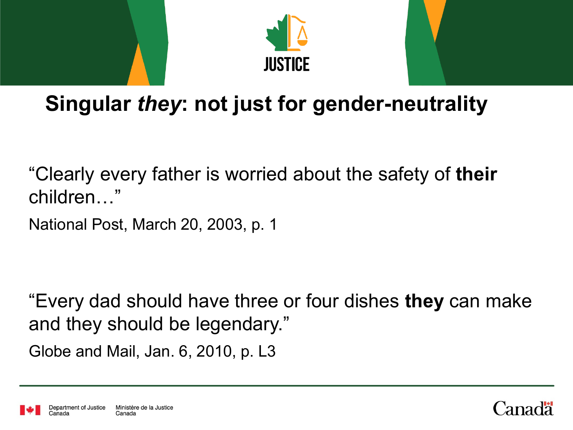



"Clearly every father is worried about the safety of **their** children…"

National Post, March 20, 2003, p. 1

"Every dad should have three or four dishes **they** can make and they should be legendary."

Globe and Mail, Jan. 6, 2010, p. L3



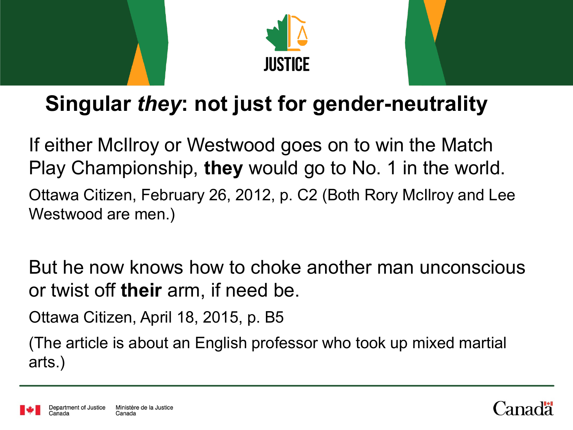



If either McIlroy or Westwood goes on to win the Match Play Championship, **they** would go to No. 1 in the world. Ottawa Citizen, February 26, 2012, p. C2 (Both Rory McIlroy and Lee Westwood are men.)

But he now knows how to choke another man unconscious or twist off **their** arm, if need be.

Ottawa Citizen, April 18, 2015, p. B5

(The article is about an English professor who took up mixed martial arts.)



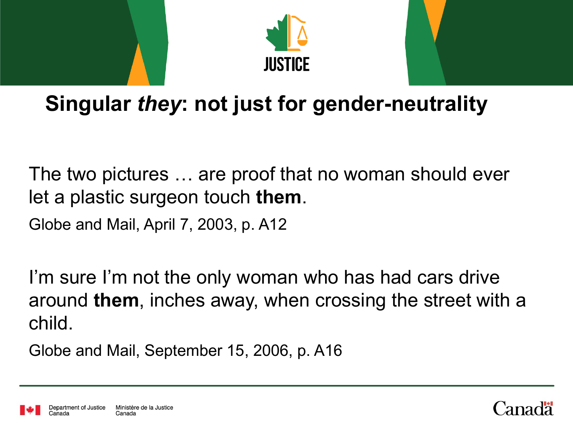



The two pictures … are proof that no woman should ever let a plastic surgeon touch **them**.

Globe and Mail, April 7, 2003, p. A12

I'm sure I'm not the only woman who has had cars drive around **them**, inches away, when crossing the street with a child.

Globe and Mail, September 15, 2006, p. A16

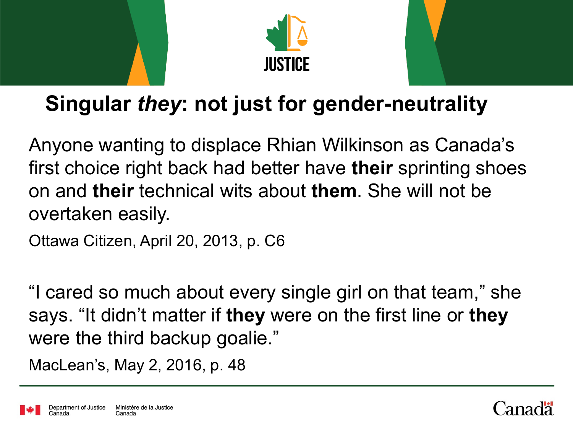



Anyone wanting to displace Rhian Wilkinson as Canada's first choice right back had better have **their** sprinting shoes on and **their** technical wits about **them**. She will not be overtaken easily.

Ottawa Citizen, April 20, 2013, p. C6

"I cared so much about every single girl on that team," she says. "It didn't matter if **they** were on the first line or **they** were the third backup goalie."

MacLean's, May 2, 2016, p. 48



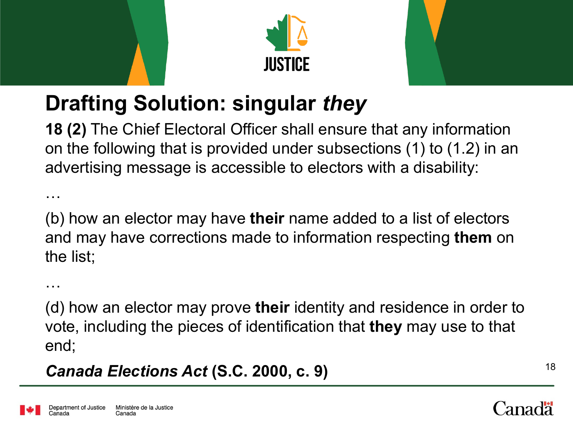



# **Drafting Solution: singular** *they*

**18 (2)** The Chief Electoral Officer shall ensure that any information on the following that is provided under subsections (1) to (1.2) in an advertising message is accessible to electors with a disability:

(b) how an elector may have **their** name added to a list of electors and may have corrections made to information respecting **them** on the list;

…

…

(d) how an elector may prove **their** identity and residence in order to vote, including the pieces of identification that **they** may use to that end;

*Canada Elections Act* **(S.C. 2000, c. 9)** <sup>18</sup>

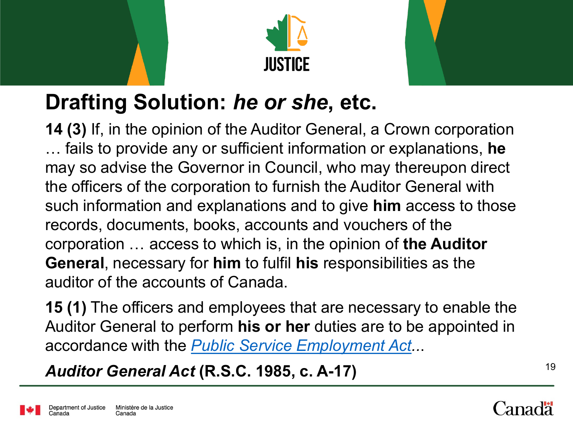



## **Drafting Solution:** *he or she***, etc.**

**14 (3)** If, in the opinion of the Auditor General, a Crown corporation … fails to provide any or sufficient information or explanations, **he** may so advise the Governor in Council, who may thereupon direct the officers of the corporation to furnish the Auditor General with such information and explanations and to give **him** access to those records, documents, books, accounts and vouchers of the corporation … access to which is, in the opinion of **the Auditor General**, necessary for **him** to fulfil **his** responsibilities as the auditor of the accounts of Canada.

**15 (1)** The officers and employees that are necessary to enable the Auditor General to perform **his or her** duties are to be appointed in accordance with the *[Public Service Employment Act.](about:blank).*.

*Auditor General Act* **(R.S.C. 1985, c. A-17)** <sup>19</sup>

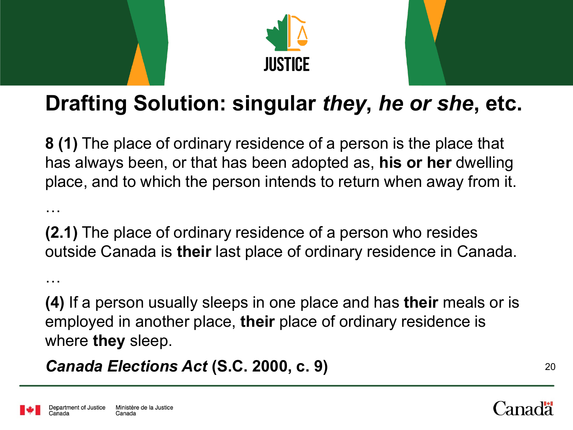



## **Drafting Solution: singular** *they***,** *he or she***, etc.**

**8 (1)** The place of ordinary residence of a person is the place that has always been, or that has been adopted as, **his or her** dwelling place, and to which the person intends to return when away from it.

**(2.1)** The place of ordinary residence of a person who resides outside Canada is **their** last place of ordinary residence in Canada.

**(4)** If a person usually sleeps in one place and has **their** meals or is employed in another place, **their** place of ordinary residence is where **they** sleep.

*Canada Elections Act* **(S.C. 2000, c. 9)** <sup>20</sup>



…

…